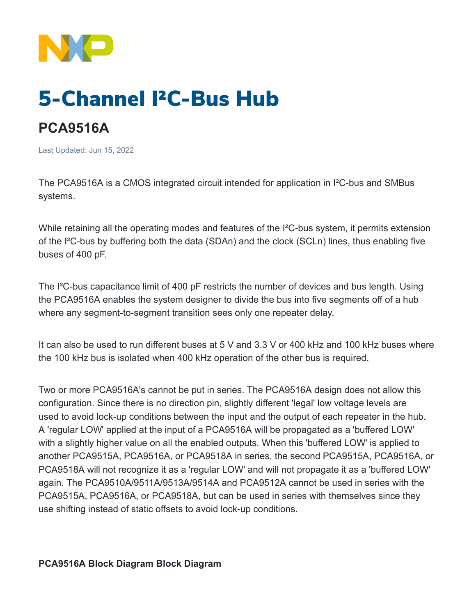

## 5-Channel I²C-Bus Hub

## **PCA9516A**

Last Updated: Jun 15, 2022

The PCA9516A is a CMOS integrated circuit intended for application in I²C-bus and SMBus systems.

While retaining all the operating modes and features of the I<sup>2</sup>C-bus system, it permits extension of the I²C-bus by buffering both the data (SDAn) and the clock (SCLn) lines, thus enabling five buses of 400 pF.

The I²C-bus capacitance limit of 400 pF restricts the number of devices and bus length. Using the PCA9516A enables the system designer to divide the bus into five segments off of a hub where any segment-to-segment transition sees only one repeater delay.

It can also be used to run different buses at 5 V and 3.3 V or 400 kHz and 100 kHz buses where the 100 kHz bus is isolated when 400 kHz operation of the other bus is required.

Two or more PCA9516A's cannot be put in series. The PCA9516A design does not allow this configuration. Since there is no direction pin, slightly different 'legal' low voltage levels are used to avoid lock-up conditions between the input and the output of each repeater in the hub. A 'regular LOW' applied at the input of a PCA9516A will be propagated as a 'buffered LOW' with a slightly higher value on all the enabled outputs. When this 'buffered LOW' is applied to another PCA9515A, PCA9516A, or PCA9518A in series, the second PCA9515A, PCA9516A, or PCA9518A will not recognize it as a 'regular LOW' and will not propagate it as a 'buffered LOW' again. The PCA9510A/9511A/9513A/9514A and PCA9512A cannot be used in series with the PCA9515A, PCA9516A, or PCA9518A, but can be used in series with themselves since they use shifting instead of static offsets to avoid lock-up conditions.

**PCA9516A Block Diagram Block Diagram**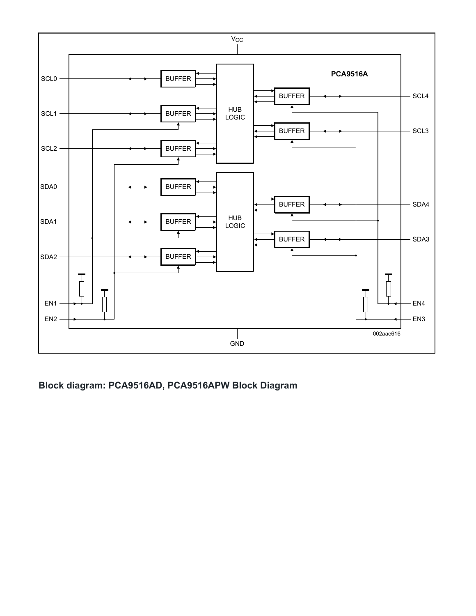

**Block diagram: PCA9516AD, PCA9516APW Block Diagram**